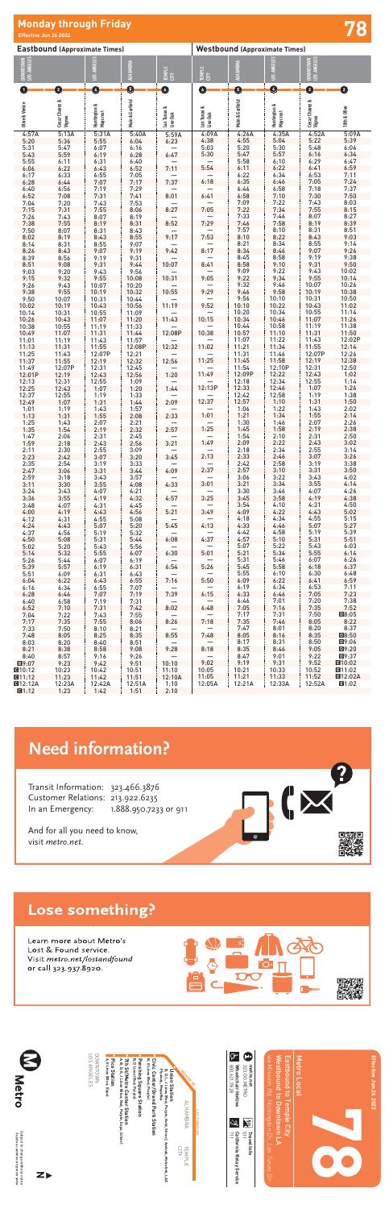| <b>Eastbound (Approximate Times)</b> |                          |                          |                 |                         | <b>Westbound (Approximate Times)</b> |                 |                          |                          |                                             |  |
|--------------------------------------|--------------------------|--------------------------|-----------------|-------------------------|--------------------------------------|-----------------|--------------------------|--------------------------|---------------------------------------------|--|
| DOWNTOWN<br>LOS ANGELES              |                          | LOS ANGELES              | ALHAMBRA        | TEMPLE<br>CITY          | TEMPLE<br>CITY                       | ALHAMBRA        | LOS ANGELES              | DOWNTOWN<br>LOS ANGELES  |                                             |  |
| 0                                    | 0                        | $\bullet$                | $\mathbf 0$     | $\bullet$               | ◑                                    | ❺               | Ø                        | ➊                        | ❹                                           |  |
| <b>Olive &amp; Venice</b>            | Cesar Chavez &<br>Vignes | Huntington &<br>Maycrest | Main & Garfield | Las Tunas &<br>Live Oak | Las Tunas &<br>Live Oak              | Main & Garfield | Huntington &<br>Maycrest | Cesar Chavez &<br>Vignes | 18th & Olive                                |  |
| 4:57A<br>5:20                        | 5:13A<br>5:36            | 5:31A<br>5:55            | 5:40A<br>6:04   | 5:59A<br>6:23           | 4:09A<br>4:38                        | 4:26A<br>4:55   | 4:35A<br>5:04            | 4:52A<br>5:22            | 5:09A<br>5:39                               |  |
| 5:31                                 | 5:47                     | 6:07                     | 6:16            |                         | 5:03                                 | 5:20            | 5:30                     | 5:48                     | 6:06                                        |  |
| 5:43<br>5:55                         | 5:59<br>6:11             | 6:19<br>6:31             | 6:28<br>6:40    | 6:47                    | 5:30                                 | 5:47<br>5:58    | 5:57<br>6:10             | 6:16<br>6:29             | 6:34<br>6:47                                |  |
| 6:06                                 | 6:22                     | 6:43                     | 6:52            | 7:11                    | 5:54                                 | 6:11            | 6:22                     | 6:41                     | 6:59                                        |  |
| 6:17<br>6:28                         | 6:33<br>6:44             | 6:55<br>7:07             | 7:05<br>7:17    | 7:37                    | 6:18                                 | 6:22<br>6:35    | 6:34<br>6:46             | 6:53<br>7:05             | 7:11<br>7:24                                |  |
| 6:40                                 | 6:56                     | 7:19                     | 7:29            |                         |                                      | 6:46            | 6:58                     | 7:18                     | 7:37                                        |  |
| 6:52                                 | 7:08                     | 7:31                     | 7:41            | 8:01                    | 6:41                                 | 6:58            | 7:10                     | 7:30                     | 7:50                                        |  |
| 7:04<br>7:15                         | 7:20<br>7:31             | 7:43<br>7:55             | 7:53<br>8:06    | 8:27                    | 7:05                                 | 7:09<br>7:22    | 7:22<br>7:34             | 7:43<br>7:55             | 8:03<br>8:15                                |  |
| 7:26                                 | 7:43                     | 8:07                     | 8:19            |                         |                                      | 7:33            | 7:46                     | 8:07                     | 8:27                                        |  |
| 7:38<br>7:50                         | 7:55<br>8:07             | 8:19<br>8:31             | 8:31<br>8:43    | 8:52                    | 7:29                                 | 7:46<br>7:57    | 7:58<br>8:10             | 8:19<br>8:31             | 8:39<br>8:51                                |  |
| 8:02                                 | 8:19                     | 8:43                     | 8:55            | 9:17                    | 7:53                                 | 8:10            | 8:22                     | 8:43                     | 9:03                                        |  |
| 8:14<br>8:26                         | 8:31<br>8:43             | 8:55<br>9:07             | 9:07<br>9:19    | 9:42                    | 8:17                                 | 8:21<br>8:34    | 8:34<br>8:46             | 8:55<br>9:07             | 9:14<br>9:26                                |  |
| 8:39                                 | 8:56                     | 9:19                     | 9:31            |                         |                                      | 8:45            | 8:58                     | 9:19                     | 9:38                                        |  |
| 8:51<br>9:03                         | 9:08<br>9:20             | 9:31<br>9:43             | 9:44<br>9:56    | 10:07                   | 8:41                                 | 8:58<br>9:09    | 9:10<br>9:22             | 9:31<br>9:43             | 9:50<br>10:02                               |  |
| 9:15                                 | 9:32                     | 9:55                     | 10:08           | 10:31                   | 9:05                                 | 9:22            | 9:34                     | 9:55                     | 10:14                                       |  |
| 9:26<br>9:38                         | 9:43<br>9:55             | 10:07<br>10:19           | 10:20<br>10:32  | 10:55                   | 9:29                                 | 9:32<br>9:46    | 9:46<br>9:58             | 10:07<br>10:19           | 10:26<br>10:38                              |  |
| 9:50                                 | 10:07                    | 10:31                    | 10:44           |                         |                                      | 9:56            | 10:10                    | 10:31                    | 10:50                                       |  |
| 10:02                                | 10:19                    | 10:43                    | 10:56           | 11:19                   | 9:52                                 | 10:10           | 10:22                    | 10:43                    | 11:02                                       |  |
| 10:14<br>10:26                       | 10:31<br>10:43           | 10:55<br>11:07           | 11:09<br>11:20  | 11:43                   | 10:15                                | 10:20<br>10:34  | 10:34<br>10:46           | 10:55<br>11:07           | 11:14<br>11:26                              |  |
| 10:38                                | 10:55                    | 11:19                    | 11:33           |                         |                                      | 10:44           | 10:58                    | 11:19                    | 11:38                                       |  |
| 10:49<br>11:01                       | 11:07<br>11:19           | 11:31<br>11:43           | 11:44<br>11:57  | 12:08P                  | 10:38                                | 10:57<br>11:07  | 11:10<br>11:22           | 11:31<br>11:43           | 11:50<br>12:02P                             |  |
| 11:13                                | 11:31                    | 11:55                    | 12:08P          | 12:32                   | 11:02                                | 11:21           | 11:34                    | 11:55                    | 12:14                                       |  |
| 11:25<br>11:37                       | 11:43<br>11:55           | 12:07P<br>12:19          | 12:21<br>12:32  | 12:56                   | 11:25                                | 11:31<br>11:45  | 11:46<br>11:58           | 12:07P<br>12:19          | 12:26<br>12:38                              |  |
| 11:49                                | 12:07P                   | 12:31                    | 12:45           |                         |                                      | 11:54           | 12:10P                   | 12:31                    | 12:50                                       |  |
| 12:01P                               | 12:19                    | 12:43                    | 12:56           | 1:20                    | 11:49                                | 12:09P          | 12:22                    | 12:43                    | 1:02                                        |  |
| 12:13<br>12:25                       | 12:31<br>12:43           | 12:55<br>1:07            | 1:09<br>1:20    | -<br>1:44               | 12:13P                               | 12:18<br>12:33  | 12:34<br>12:46           | 12:55<br>1:07            | 1:14<br>1:26                                |  |
| 12:37                                | 12:55                    | 1:19                     | 1:33            |                         |                                      | 12:42           | 12:58                    | 1:19                     | 1:38                                        |  |
| 12:49<br>1:01                        | 1:07<br>1:19             | 1:31<br>1:43             | 1:44<br>1:57    | 2:09                    | 12:37                                | 12:57<br>1:06   | 1:10<br>1:22             | 1:31<br>1:43             | 1:50<br>2:02                                |  |
| 1:13                                 | 1:31                     | 1:55                     | 2:08            | 2:33                    | 1:01                                 | 1:21            | 1:34                     | 1:55                     | 2:14                                        |  |
| 1:25<br>1:35                         | 1:43<br>1:54             | 2:07<br>2:19             | 2:21<br>2:32    | 2:57                    | 1:25                                 | 1:30<br>1:45    | 1:46<br>1:58             | 2:07<br>2:19             | 2:26<br>2:38                                |  |
| 1:47                                 | 2:06                     | 2:31                     | 2:45            |                         |                                      | 1:54            | 2:10                     | 2:31                     | 2:50                                        |  |
| 1:59<br>2:11                         | 2:18<br>2:30             | 2:43<br>2:55             | 2:56<br>3:09    | 3:21                    | 1:49                                 | 2:09<br>2:18    | 2:22<br>2:34             | 2:43<br>2:55             | 3:02<br>3:14                                |  |
| 2:23                                 | 2:42                     | 3:07                     | 3:20            | 3:45                    | 2:13                                 | 2:33            | 2:46                     | 3:07                     | 3:26                                        |  |
| 2:35<br>2:47                         | 2:54<br>3:06             | 3:19<br>3:31             | 3:33<br>3:44    | 4:09                    | 2:37                                 | 2:42<br>2:57    | 2:58<br>3:10             | 3:19<br>3:31             | 3:38<br>3:50                                |  |
| 2:59                                 | 3:18                     | 3:43                     | 3:57            |                         |                                      | 3:06            | 3:22                     | 3:43                     | 4:02                                        |  |
| 3:11<br>3:24                         | 3:30<br>3:43             | 3:55<br>4:07             | 4:08<br>4:21    | 4:33                    | 3:01                                 | 3:21<br>3:30    | 3:34<br>3:46             | 3:55<br>4:07             | 4:14<br>4:26                                |  |
| 3:36                                 | 3:55                     | 4:19                     | 4:32            | 4:57                    | 3:25                                 | 3:45            | 3:58                     | 4:19                     | 4:38                                        |  |
| 3:48<br>4:00                         | 4:07<br>4:19             | 4:31<br>4:43             | 4:45<br>4:56    | 5:21                    | 3:49                                 | 3:54<br>4:09    | 4:10<br>4:22             | 4:31<br>4:43             | 4:50<br>5:02                                |  |
| 4:12                                 | 4:31                     | 4:55                     | 5:08            |                         |                                      | 4:18            | 4:34                     | 4:55                     | 5:15                                        |  |
| 4:24<br>4:37                         | 4:43<br>4:56             | 5:07<br>5:19             | 5:20<br>5:32    | 5:45                    | 4:13                                 | 4:33<br>4:42    | 4:46<br>4:58             | 5:07<br>5:19             | 5:27<br>5:39                                |  |
| 4:50                                 | 5:08                     | 5:31                     | 5:44            | 6:08                    | 4:37                                 | 4:57            | 5:10                     | 5:31                     | 5:51                                        |  |
| 5:02                                 | 5:20                     | 5:43                     | 5:56            |                         | 5:01                                 | 5:07<br>5:21    | 5:22<br>5:34             | 5:43                     | 6:03                                        |  |
| 5:14<br>5:26                         | 5:32<br>5:44             | 5:55<br>6:07             | 6:07<br>6:19    | 6:30                    |                                      | 5:31            | 5:46                     | 5:55<br>6:07             | 6:14<br>6:26                                |  |
| 5:39                                 | 5:57                     | 6:19                     | 6:31            | 6:54                    | 5:26                                 | 5:45            | 5:58                     | 6:18                     | 6:37                                        |  |
| 5:51<br>6:04                         | 6:09<br>6:22             | 6:31<br>6:43             | 6:43<br>6:55    | 7:16                    | 5:50                                 | 5:55<br>6:09    | 6:10<br>6:22             | 6:30<br>6:41             | 6:48<br>6:59                                |  |
| 6:16                                 | 6:34                     | 6:55                     | 7:07            |                         |                                      | 6:19            | 6:34                     | 6:53                     | 7:11                                        |  |
| 6:28<br>6:40                         | 6:46<br>6:58             | 7:07<br>7:19             | 7:19<br>7:31    | 7:39                    | 6:15                                 | 6:33<br>6:46    | 6:46<br>7:01             | 7:05<br>7:20             | 7:23<br>7:38                                |  |
| 6:52                                 | 7:10                     | 7:31                     | 7:42            | 8:02                    | 6:48                                 | 7:05            | 7:16                     | 7:35                     | 7:52                                        |  |
| 7:04<br>7:17                         | 7:22<br>7:35             | 7:43<br>7:55             | 7:55<br>8:06    | 8:26                    | 7:18                                 | 7:17<br>7:35    | 7:31<br>7:46             | 7:50<br>8:05             | D8:05<br>8:22                               |  |
| 7:33                                 | 7:50                     | 8:10                     | 8:21            |                         |                                      | 7:47            | 8:01                     | 8:20                     | 8:37                                        |  |
| 7:48<br>8:03                         | 8:05<br>8:20             | 8:25<br>8:40             | 8:35<br>8:51    | 8:55                    | 7:48                                 | 8:05<br>8:17    | 8:16<br>8:31             | 8:35<br>8:50             | $\mathbf{\mathbf{\mathsf{D}8:50}}$<br>回9:06 |  |
| 8:21                                 | 8:38                     | 8:58                     | 9:08            | 9:28                    | 8:18                                 | 8:35            | 8:46                     | 9:05                     | $\mathbf{D}$ 9:20                           |  |
| 8:40<br>图9:07                        | 8:57<br>9:23             | 9:16<br>9:42             | 9:26<br>9:51    | 10:10                   | 9:02                                 | 8:47<br>9:19    | 9:01<br>9:31             | 9:22<br>9:52             | 回9:37<br>$\Pi$ 10:02                        |  |
| $Q$ 10:12                            | 10:23                    | 10:42                    | 10:51           | 11:10                   | 10:05                                | 10:21           | 10:33                    | 10:52                    | ■11:02                                      |  |
| Q11:12<br><b>CH12:12A</b>            | 11:23<br>12:23A          | 11:42<br>12:42A          | 11:51<br>12:51A | 12:10A<br>1:10          | 11:05<br>12:05A                      | 11:21<br>12:21A | 11:33<br>12:33A          | 11:52<br>12:52A          | <b>E</b> 12:02A<br>■1:02                    |  |
|                                      |                          |                          |                 |                         |                                      |                 |                          |                          |                                             |  |

| $\overline{\bf k}$<br>Metro                                                        | LOS ANGELES<br><b>DOWNTOWN</b> | Pico Station<br>A, E Lines (Blue, Expo) | A, B, D, E, J Lines (Blue, Red, Purple, Expo, Silver)<br>7th St/Metro Center Station<br><b>B, D Lines (Red, Purple)</b><br>Pershing Square Station | B, D Lines (Red, Purple)<br>Civic Center/Grand Park Station | Flyaway, MegaBus<br>B, D, L, J Lines (Red,<br>Union Station | MISSION RD<br>ALHAMBRA       | <b>LASTUNAS</b> | ᢉᡴ<br>800.621.7828<br>Wheelchair Hotline<br>Q. | œ<br>323.GO.METRO<br>metro.net | via Mission Rd,<br>Huntington Dr, | Eastbound to<br>Westbound to<br>Temple City<br><b>Downtown</b> | Metro Local | Effective Jun 26 2022 |
|------------------------------------------------------------------------------------|--------------------------------|-----------------------------------------|----------------------------------------------------------------------------------------------------------------------------------------------------|-------------------------------------------------------------|-------------------------------------------------------------|------------------------------|-----------------|------------------------------------------------|--------------------------------|-----------------------------------|----------------------------------------------------------------|-------------|-----------------------|
| Subject to change without notice<br><i>Sujeto a cambios sin previo aviso</i><br>ZI |                                |                                         |                                                                                                                                                    |                                                             | Purple, Gold, Silver), Amtrak, Metrolink, LAX               | <b>CITY</b><br><b>TEMPLE</b> | lg              | California Relay<br>711<br>Service             | ř<br>511<br>Travel Info        | se <sup>.</sup><br>seun/<br>Ďг    |                                                                |             |                       |

# **78 Monday through Friday**

**Effective Jun 26 2022**

## **Need information?**

Transit Information: 323.466.3876 Customer Relations: 213.922.6235 In an Emergency: 1.888.950.7233 or 911

And for all you need to know, visit metro.net.

# 

## Lose something?

Learn more about Metro's Lost & Found service. Visit *metro.net/lostandfound*<br>or call 323.937.8920.